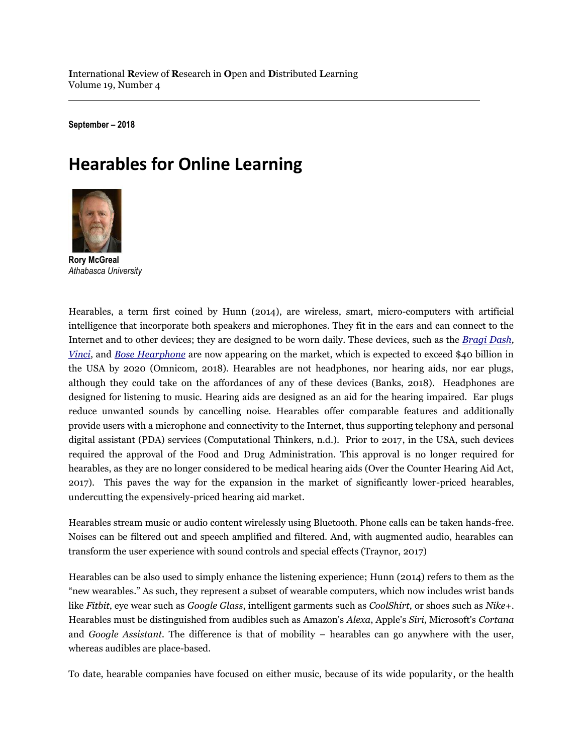**September – 2018**

# **Hearables for Online Learning**



**Rory McGreal** *Athabasca University*

Hearables, a term first coined by Hunn (2014), are wireless, smart, micro-computers with artificial intelligence that incorporate both speakers and microphones. They fit in the ears and can connect to the Internet and to other devices; they are designed to be worn daily. These devices, such as the *[Bragi Dash,](/https:/www.bragi.com/) [Vinci](http://en.vinci.im/2.0/)*, and *[Bose Hearphone](https://www.bose.com/en_us/products/wellness/conversation_enhancing_headphones/hearphones.html)* are now appearing on the market, which is expected to exceed \$40 billion in the USA by 2020 (Omnicom, 2018). Hearables are not headphones, nor hearing aids, nor ear plugs, although they could take on the affordances of any of these devices (Banks, 2018). Headphones are designed for listening to music. Hearing aids are designed as an aid for the hearing impaired. Ear plugs reduce unwanted sounds by cancelling noise. Hearables offer comparable features and additionally provide users with a microphone and connectivity to the Internet, thus supporting telephony and personal digital assistant (PDA) services (Computational Thinkers, n.d.). Prior to 2017, in the USA, such devices required the approval of the Food and Drug Administration. This approval is no longer required for hearables, as they are no longer considered to be medical hearing aids (Over the Counter Hearing Aid Act, 2017). This paves the way for the expansion in the market of significantly lower-priced hearables, undercutting the expensively-priced hearing aid market.

Hearables stream music or audio content wirelessly using Bluetooth. Phone calls can be taken hands-free. Noises can be filtered out and speech amplified and filtered. And, with augmented audio, hearables can transform the user experience with sound controls and special effects (Traynor, 2017)

Hearables can be also used to simply enhance the listening experience; Hunn (2014) refers to them as the "new wearables." As such, they represent a subset of wearable computers, which now includes wrist bands like *Fitbit*, eye wear such as *Google Glass*, intelligent garments such as *CoolShirt,* or shoes such as *Nike+*. Hearables must be distinguished from audibles such as Amazon's *Alexa*, Apple's *Siri,* Microsoft's *Cortana*  and *Google Assistant.* The difference is that of mobility – hearables can go anywhere with the user, whereas audibles are place-based.

To date, hearable companies have focused on either music, because of its wide popularity, or the health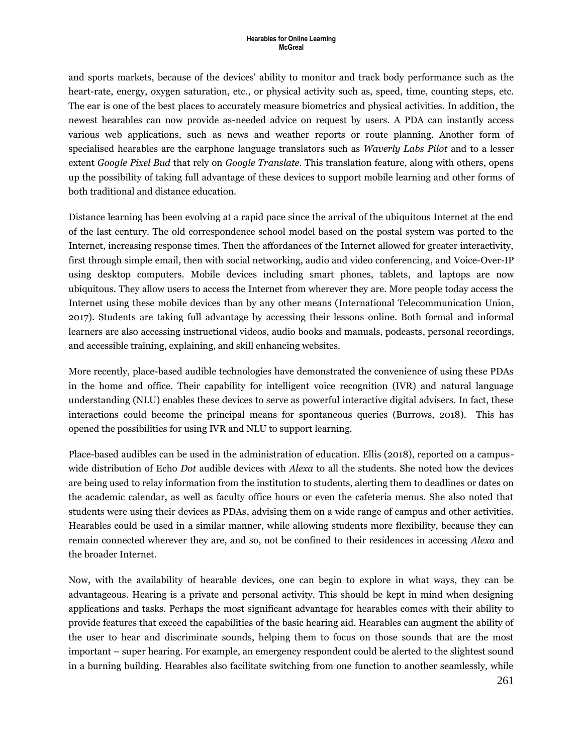and sports markets, because of the devices' ability to monitor and track body performance such as the heart-rate, energy, oxygen saturation, etc., or physical activity such as, speed, time, counting steps, etc. The ear is one of the best places to accurately measure biometrics and physical activities. In addition, the newest hearables can now provide as-needed advice on request by users. A PDA can instantly access various web applications, such as news and weather reports or route planning. Another form of specialised hearables are the earphone language translators such as *Waverly Labs Pilot* and to a lesser extent *Google Pixel Bud* that rely on *Google Translate.* This translation feature, along with others, opens up the possibility of taking full advantage of these devices to support mobile learning and other forms of both traditional and distance education.

Distance learning has been evolving at a rapid pace since the arrival of the ubiquitous Internet at the end of the last century. The old correspondence school model based on the postal system was ported to the Internet, increasing response times. Then the affordances of the Internet allowed for greater interactivity, first through simple email, then with social networking, audio and video conferencing, and Voice-Over-IP using desktop computers. Mobile devices including smart phones, tablets, and laptops are now ubiquitous. They allow users to access the Internet from wherever they are. More people today access the Internet using these mobile devices than by any other means (International Telecommunication Union, 2017). Students are taking full advantage by accessing their lessons online. Both formal and informal learners are also accessing instructional videos, audio books and manuals, podcasts, personal recordings, and accessible training, explaining, and skill enhancing websites.

More recently, place-based audible technologies have demonstrated the convenience of using these PDAs in the home and office. Their capability for intelligent voice recognition (IVR) and natural language understanding (NLU) enables these devices to serve as powerful interactive digital advisers. In fact, these interactions could become the principal means for spontaneous queries (Burrows, 2018). This has opened the possibilities for using IVR and NLU to support learning.

Place-based audibles can be used in the administration of education. Ellis (2018), reported on a campuswide distribution of Echo *Dot* audible devices with *Alexa* to all the students. She noted how the devices are being used to relay information from the institution to students, alerting them to deadlines or dates on the academic calendar, as well as faculty office hours or even the cafeteria menus. She also noted that students were using their devices as PDAs, advising them on a wide range of campus and other activities. Hearables could be used in a similar manner, while allowing students more flexibility, because they can remain connected wherever they are, and so, not be confined to their residences in accessing *Alexa* and the broader Internet.

Now, with the availability of hearable devices, one can begin to explore in what ways, they can be advantageous. Hearing is a private and personal activity. This should be kept in mind when designing applications and tasks. Perhaps the most significant advantage for hearables comes with their ability to provide features that exceed the capabilities of the basic hearing aid. Hearables can augment the ability of the user to hear and discriminate sounds, helping them to focus on those sounds that are the most important – super hearing. For example, an emergency respondent could be alerted to the slightest sound in a burning building. Hearables also facilitate switching from one function to another seamlessly, while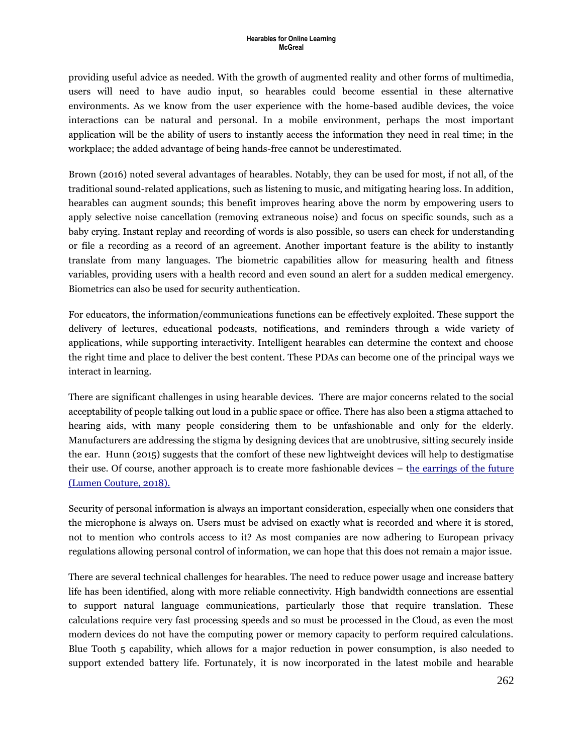providing useful advice as needed. With the growth of augmented reality and other forms of multimedia, users will need to have audio input, so hearables could become essential in these alternative environments. As we know from the user experience with the home-based audible devices, the voice interactions can be natural and personal. In a mobile environment, perhaps the most important application will be the ability of users to instantly access the information they need in real time; in the workplace; the added advantage of being hands-free cannot be underestimated.

Brown (2016) noted several advantages of hearables. Notably, they can be used for most, if not all, of the traditional sound-related applications, such as listening to music, and mitigating hearing loss. In addition, hearables can augment sounds; this benefit improves hearing above the norm by empowering users to apply selective noise cancellation (removing extraneous noise) and focus on specific sounds, such as a baby crying. Instant replay and recording of words is also possible, so users can check for understanding or file a recording as a record of an agreement. Another important feature is the ability to instantly translate from many languages. The biometric capabilities allow for measuring health and fitness variables, providing users with a health record and even sound an alert for a sudden medical emergency. Biometrics can also be used for security authentication.

For educators, the information/communications functions can be effectively exploited. These support the delivery of lectures, educational podcasts, notifications, and reminders through a wide variety of applications, while supporting interactivity. Intelligent hearables can determine the context and choose the right time and place to deliver the best content. These PDAs can become one of the principal ways we interact in learning.

There are significant challenges in using hearable devices. There are major concerns related to the social acceptability of people talking out loud in a public space or office. There has also been a stigma attached to hearing aids, with many people considering them to be unfashionable and only for the elderly. Manufacturers are addressing the stigma by designing devices that are unobtrusive, sitting securely inside the ear. Hunn (2015) suggests that the comfort of these new lightweight devices will help to destigmatise their use. Of course, another approach is to create more fashionable devices – [the earrings of the future](https://www.youtube.com/watch?v=GsBRKr1jQG8) (Lumen Couture, 2018).

Security of personal information is always an important consideration, especially when one considers that the microphone is always on. Users must be advised on exactly what is recorded and where it is stored, not to mention who controls access to it? As most companies are now adhering to European privacy regulations allowing personal control of information, we can hope that this does not remain a major issue.

There are several technical challenges for hearables. The need to reduce power usage and increase battery life has been identified, along with more reliable connectivity. High bandwidth connections are essential to support natural language communications, particularly those that require translation. These calculations require very fast processing speeds and so must be processed in the Cloud, as even the most modern devices do not have the computing power or memory capacity to perform required calculations. Blue Tooth 5 capability, which allows for a major reduction in power consumption, is also needed to support extended battery life. Fortunately, it is now incorporated in the latest mobile and hearable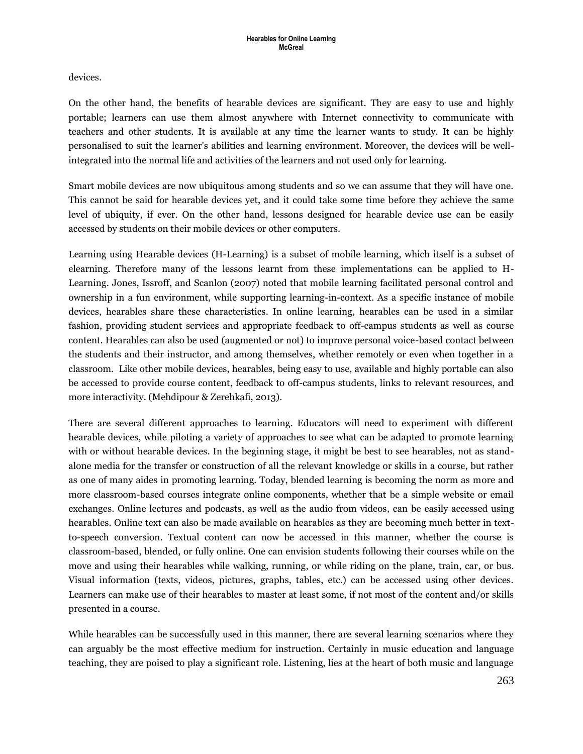devices.

On the other hand, the benefits of hearable devices are significant. They are easy to use and highly portable; learners can use them almost anywhere with Internet connectivity to communicate with teachers and other students. It is available at any time the learner wants to study. It can be highly personalised to suit the learner's abilities and learning environment. Moreover, the devices will be wellintegrated into the normal life and activities of the learners and not used only for learning.

Smart mobile devices are now ubiquitous among students and so we can assume that they will have one. This cannot be said for hearable devices yet, and it could take some time before they achieve the same level of ubiquity, if ever. On the other hand, lessons designed for hearable device use can be easily accessed by students on their mobile devices or other computers.

Learning using Hearable devices (H-Learning) is a subset of mobile learning, which itself is a subset of elearning. Therefore many of the lessons learnt from these implementations can be applied to H-Learning. Jones, Issroff, and Scanlon (2007) noted that mobile learning facilitated personal control and ownership in a fun environment, while supporting learning-in-context. As a specific instance of mobile devices, hearables share these characteristics. In online learning, hearables can be used in a similar fashion, providing student services and appropriate feedback to off-campus students as well as course content. Hearables can also be used (augmented or not) to improve personal voice-based contact between the students and their instructor, and among themselves, whether remotely or even when together in a classroom. Like other mobile devices, hearables, being easy to use, available and highly portable can also be accessed to provide course content, feedback to off-campus students, links to relevant resources, and more interactivity. (Mehdipour & Zerehkafi, 2013).

There are several different approaches to learning. Educators will need to experiment with different hearable devices, while piloting a variety of approaches to see what can be adapted to promote learning with or without hearable devices. In the beginning stage, it might be best to see hearables, not as standalone media for the transfer or construction of all the relevant knowledge or skills in a course, but rather as one of many aides in promoting learning. Today, blended learning is becoming the norm as more and more classroom-based courses integrate online components, whether that be a simple website or email exchanges. Online lectures and podcasts, as well as the audio from videos, can be easily accessed using hearables. Online text can also be made available on hearables as they are becoming much better in textto-speech conversion. Textual content can now be accessed in this manner, whether the course is classroom-based, blended, or fully online. One can envision students following their courses while on the move and using their hearables while walking, running, or while riding on the plane, train, car, or bus. Visual information (texts, videos, pictures, graphs, tables, etc.) can be accessed using other devices. Learners can make use of their hearables to master at least some, if not most of the content and/or skills presented in a course.

While hearables can be successfully used in this manner, there are several learning scenarios where they can arguably be the most effective medium for instruction. Certainly in music education and language teaching, they are poised to play a significant role. Listening, lies at the heart of both music and language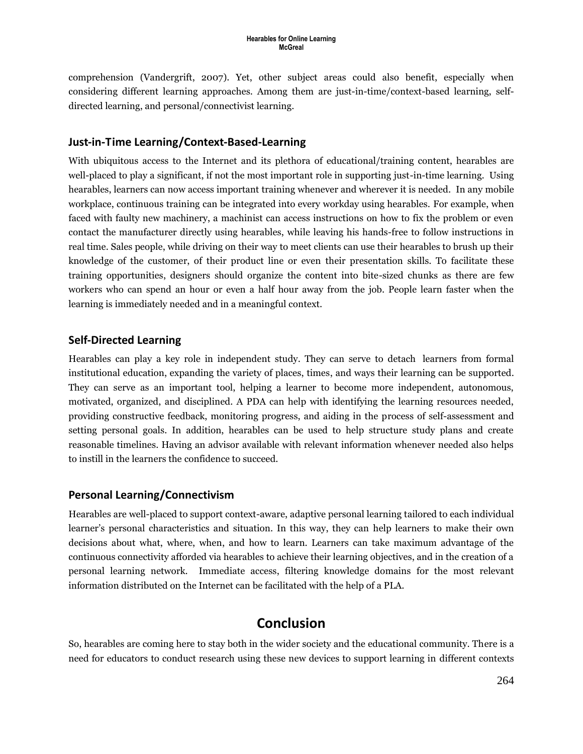comprehension (Vandergrift, 2007). Yet, other subject areas could also benefit, especially when considering different learning approaches. Among them are just-in-time/context-based learning, selfdirected learning, and personal/connectivist learning.

#### **Just-in-Time Learning/Context-Based-Learning**

With ubiquitous access to the Internet and its plethora of educational/training content, hearables are well-placed to play a significant, if not the most important role in supporting just-in-time learning. Using hearables, learners can now access important training whenever and wherever it is needed. In any mobile workplace, continuous training can be integrated into every workday using hearables. For example, when faced with faulty new machinery, a machinist can access instructions on how to fix the problem or even contact the manufacturer directly using hearables, while leaving his hands-free to follow instructions in real time. Sales people, while driving on their way to meet clients can use their hearables to brush up their knowledge of the customer, of their product line or even their presentation skills. To facilitate these training opportunities, designers should organize the content into bite-sized chunks as there are few workers who can spend an hour or even a half hour away from the job. People learn faster when the learning is immediately needed and in a meaningful context.

#### **Self-Directed Learning**

Hearables can play a key role in independent study. They can serve to detach learners from formal institutional education, expanding the variety of places, times, and ways their learning can be supported. They can serve as an important tool, helping a learner to become more independent, autonomous, motivated, organized, and disciplined. A PDA can help with identifying the learning resources needed, providing constructive feedback, monitoring progress, and aiding in the process of self-assessment and setting personal goals. In addition, hearables can be used to help structure study plans and create reasonable timelines. Having an advisor available with relevant information whenever needed also helps to instill in the learners the confidence to succeed.

#### **Personal Learning/Connectivism**

Hearables are well-placed to support context-aware, adaptive personal learning tailored to each individual learner's personal characteristics and situation. In this way, they can help learners to make their own decisions about what, where, when, and how to learn. Learners can take maximum advantage of the continuous connectivity afforded via hearables to achieve their learning objectives, and in the creation of a personal learning network. Immediate access, filtering knowledge domains for the most relevant information distributed on the Internet can be facilitated with the help of a PLA.

### **Conclusion**

So, hearables are coming here to stay both in the wider society and the educational community. There is a need for educators to conduct research using these new devices to support learning in different contexts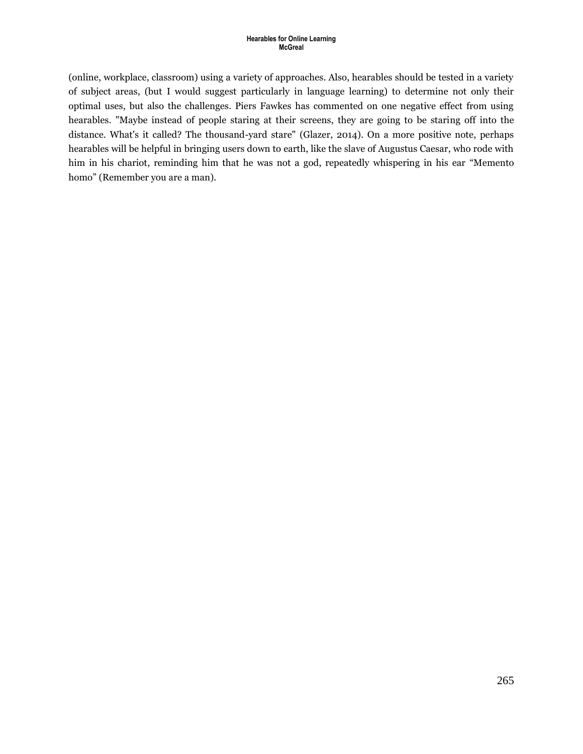(online, workplace, classroom) using a variety of approaches. Also, hearables should be tested in a variety of subject areas, (but I would suggest particularly in language learning) to determine not only their optimal uses, but also the challenges. Piers Fawkes has commented on one negative effect from using hearables. "Maybe instead of people staring at their screens, they are going to be staring off into the distance. What's it called? The thousand-yard stare" (Glazer, 2014). On a more positive note, perhaps hearables will be helpful in bringing users down to earth, like the slave of Augustus Caesar, who rode with him in his chariot, reminding him that he was not a god, repeatedly whispering in his ear "Memento homo" (Remember you are a man).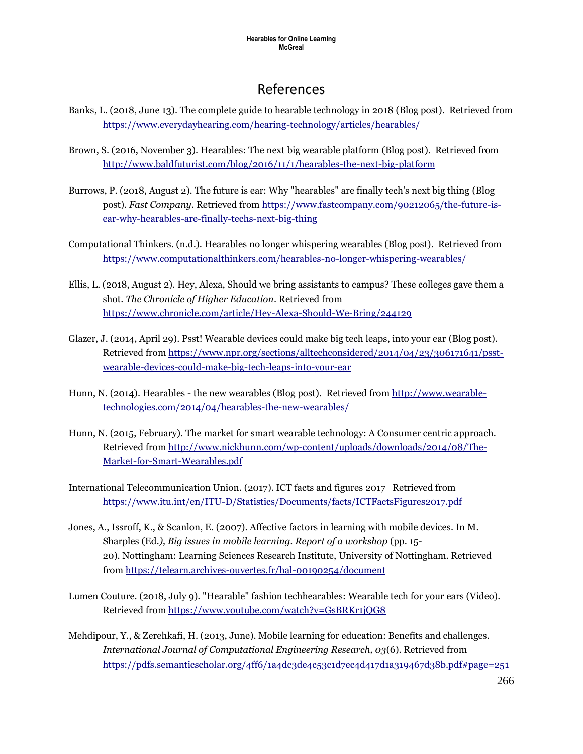## References

- Banks, L. (2018, June 13). The complete guide to hearable technology in 2018 (Blog post). Retrieved from <https://www.everydayhearing.com/hearing-technology/articles/hearables/>
- Brown, S. (2016, November 3). Hearables: The next big wearable platform (Blog post). Retrieved from <http://www.baldfuturist.com/blog/2016/11/1/hearables-the-next-big-platform>
- Burrows, P. (2018, August 2). The future is ear: Why "hearables" are finally tech's next big thing (Blog post). *Fast Company*. Retrieved from [https://www.fastcompany.com/90212065/the-future-is](https://www.fastcompany.com/90212065/the-future-is-ear-why-hearables-are-finally-techs-next-big-thing)[ear-why-hearables-are-finally-techs-next-big-thing](https://www.fastcompany.com/90212065/the-future-is-ear-why-hearables-are-finally-techs-next-big-thing)
- Computational Thinkers. (n.d.). Hearables no longer whispering wearables (Blog post). Retrieved from <https://www.computationalthinkers.com/hearables-no-longer-whispering-wearables/>
- Ellis, L. (2018, August 2). Hey, Alexa, Should we bring assistants to campus? These colleges gave them a shot. *The Chronicle of Higher Education*. Retrieved from <https://www.chronicle.com/article/Hey-Alexa-Should-We-Bring/244129>
- Glazer, J. (2014, April 29). Psst! Wearable devices could make big tech leaps, into your ear (Blog post). Retrieved from [https://www.npr.org/sections/alltechconsidered/2014/04/23/306171641/psst](https://www.npr.org/sections/alltechconsidered/2014/04/23/306171641/psst-wearable-devices-could-make-big-tech-leaps-into-your-ear)[wearable-devices-could-make-big-tech-leaps-into-your-ear](https://www.npr.org/sections/alltechconsidered/2014/04/23/306171641/psst-wearable-devices-could-make-big-tech-leaps-into-your-ear)
- Hunn, N. (2014). Hearables the new wearables (Blog post). Retrieved from [http://www.wearable](http://www.wearable-technologies.com/2014/04/hearables-the-new-wearables/)[technologies.com/2014/04/hearables-the-new-wearables/](http://www.wearable-technologies.com/2014/04/hearables-the-new-wearables/)
- Hunn, N. (2015, February). The market for smart wearable technology: A Consumer centric approach. Retrieved from [http://www.nickhunn.com/wp-content/uploads/downloads/2014/08/The-](http://www.nickhunn.com/wp-content/uploads/downloads/2014/08/The-Market-for-Smart-Wearables.pdf)[Market-for-Smart-Wearables.pdf](http://www.nickhunn.com/wp-content/uploads/downloads/2014/08/The-Market-for-Smart-Wearables.pdf)
- International Telecommunication Union. (2017). ICT facts and figures 2017 Retrieved from <https://www.itu.int/en/ITU-D/Statistics/Documents/facts/ICTFactsFigures2017.pdf>
- Jones, A., Issroff, K., & Scanlon, E. (2007). Affective factors in learning with mobile devices. In M. Sharples (Ed*.), Big issues in mobile learning. Report of a workshop* (pp. 15- 20). Nottingham: Learning Sciences Research Institute, University of Nottingham. Retrieved from<https://telearn.archives-ouvertes.fr/hal-00190254/document>
- Lumen Couture. (2018, July 9). "Hearable" fashion techhearables: Wearable tech for your ears (Video). Retrieved from<https://www.youtube.com/watch?v=GsBRKr1jQG8>
- Mehdipour, Y., & Zerehkafi, H. (2013, June). Mobile learning for education: Benefits and challenges. *International Journal of Computational Engineering Research, 03*(6). Retrieved from <https://pdfs.semanticscholar.org/4ff6/1a4dc3de4c53c1d7ec4d417d1a319467d38b.pdf#page=251>